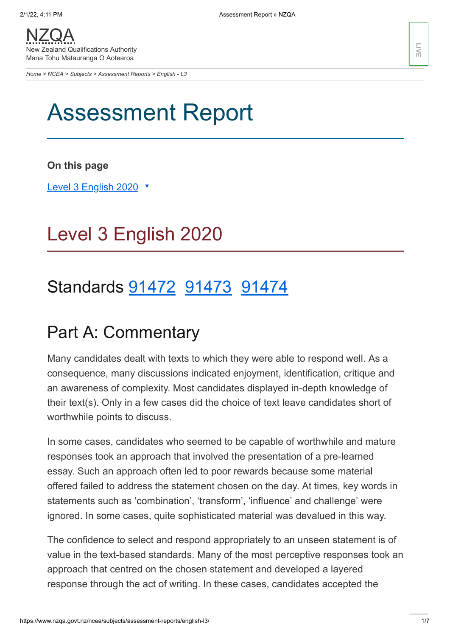*[Home](https://www.nzqa.govt.nz/home) > [NCEA](https://www.nzqa.govt.nz/ncea/) > [Subjects](https://www.nzqa.govt.nz/ncea/subjects/) > [Assessment Reports](https://www.nzqa.govt.nz/ncea/subjects/assessment-reports/) > English - L3*

# Assessment Report

**On this page**

Level 3 [English](https://www.nzqa.govt.nz/ncea/subjects/assessment-reports/english-l3/#heading2-0) 2020 ▼

# Level 3 English 2020

# Standards [91472](https://www.nzqa.govt.nz/ncea/subjects/assessment-reports/english-l3/#91472) [91473](https://www.nzqa.govt.nz/ncea/subjects/assessment-reports/english-l3/#91473) [91474](https://www.nzqa.govt.nz/ncea/subjects/assessment-reports/english-l3/#91474)

## Part A: Commentary

Many candidates dealt with texts to which they were able to respond well. As a consequence, many discussions indicated enjoyment, identification, critique and an awareness of complexity. Most candidates displayed in-depth knowledge of their text(s). Only in a few cases did the choice of text leave candidates short of worthwhile points to discuss.

In some cases, candidates who seemed to be capable of worthwhile and mature responses took an approach that involved the presentation of a pre-learned essay. Such an approach often led to poor rewards because some material offered failed to address the statement chosen on the day. At times, key words in statements such as 'combination', 'transform', 'influence' and challenge' were ignored. In some cases, quite sophisticated material was devalued in this way.

The confidence to select and respond appropriately to an unseen statement is of value in the text-based standards. Many of the most perceptive responses took an approach that centred on the chosen statement and developed a layered response through the act of writing. In these cases, candidates accepted the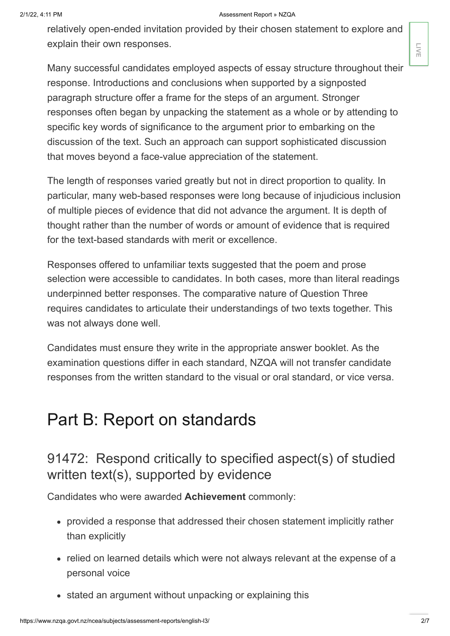#### 2/1/22, 4:11 PM **Assessment Report » NZQA**

relatively open-ended invitation provided by their chosen statement to explore and explain their own responses.

Many successful candidates employed aspects of essay structure throughout their response. Introductions and conclusions when supported by a signposted paragraph structure offer a frame for the steps of an argument. Stronger responses often began by unpacking the statement as a whole or by attending to specific key words of significance to the argument prior to embarking on the discussion of the text. Such an approach can support sophisticated discussion that moves beyond a face-value appreciation of the statement.

The length of responses varied greatly but not in direct proportion to quality. In particular, many web-based responses were long because of injudicious inclusion of multiple pieces of evidence that did not advance the argument. It is depth of thought rather than the number of words or amount of evidence that is required for the text-based standards with merit or excellence.

Responses offered to unfamiliar texts suggested that the poem and prose selection were accessible to candidates. In both cases, more than literal readings underpinned better responses. The comparative nature of Question Three requires candidates to articulate their understandings of two texts together. This was not always done well.

Candidates must ensure they write in the appropriate answer booklet. As the examination questions differ in each standard, NZQA will not transfer candidate responses from the written standard to the visual or oral standard, or vice versa.

### Part B: Report on standards

### 91472: Respond critically to specified aspect(s) of studied written text(s), supported by evidence

Candidates who were awarded **Achievement** commonly:

- provided a response that addressed their chosen statement implicitly rather than explicitly
- relied on learned details which were not always relevant at the expense of a personal voice
- stated an argument without unpacking or explaining this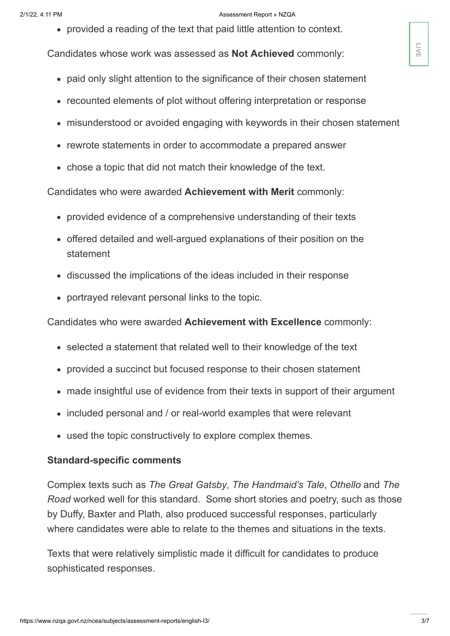#### 2/1/22, 4:11 PM **Assessment Report » NZQA**

provided a reading of the text that paid little attention to context.

Candidates whose work was assessed as **Not Achieved** commonly:

- paid only slight attention to the significance of their chosen statement
- recounted elements of plot without offering interpretation or response
- misunderstood or avoided engaging with keywords in their chosen statement
- rewrote statements in order to accommodate a prepared answer
- chose a topic that did not match their knowledge of the text.

Candidates who were awarded **Achievement with Merit** commonly:

- provided evidence of a comprehensive understanding of their texts
- offered detailed and well-argued explanations of their position on the statement
- discussed the implications of the ideas included in their response
- portrayed relevant personal links to the topic.

Candidates who were awarded **Achievement with Excellence** commonly:

- selected a statement that related well to their knowledge of the text
- provided a succinct but focused response to their chosen statement
- made insightful use of evidence from their texts in support of their argument
- included personal and / or real-world examples that were relevant
- used the topic constructively to explore complex themes.

#### **Standard-specific comments**

Complex texts such as *The Great Gatsby*, *The Handmaid's Tale*, *Othello* and *The Road* worked well for this standard. Some short stories and poetry, such as those by Duffy, Baxter and Plath, also produced successful responses, particularly where candidates were able to relate to the themes and situations in the texts. Candidates whose work was assessed as **Not Achieved** commonly:<br>
• paid only slight attention to the significance of their chosen statement<br>
• recounted elements of plot without offering interpretation or response<br>
• misund

Texts that were relatively simplistic made it difficult for candidates to produce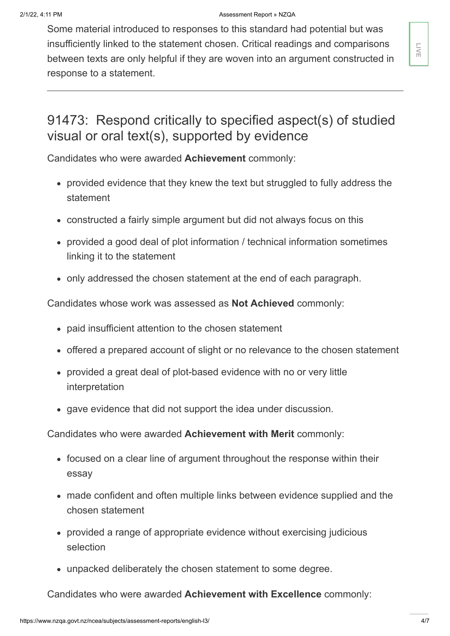Some material introduced to responses to this standard had potential but was insufficiently linked to the statement chosen. Critical readings and comparisons between texts are only helpful if they are woven into an argument constructed in response to a statement. Insummarity Innear or the statement chosen: charact restricted in<br>
Sebwere lexts are only helpful if they are woven into an argument constructed in<br>
Exposes to a statement.<br>
Statement Constructed in Section of the statemen

### 91473: Respond critically to specified aspect(s) of studied visual or oral text(s), supported by evidence

Candidates who were awarded **Achievement** commonly:

- provided evidence that they knew the text but struggled to fully address the statement
- constructed a fairly simple argument but did not always focus on this
- provided a good deal of plot information / technical information sometimes linking it to the statement
- only addressed the chosen statement at the end of each paragraph.

Candidates whose work was assessed as **Not Achieved** commonly:

- paid insufficient attention to the chosen statement
- offered a prepared account of slight or no relevance to the chosen statement
- provided a great deal of plot-based evidence with no or very little interpretation
- gave evidence that did not support the idea under discussion.

Candidates who were awarded **Achievement with Merit** commonly:

- focused on a clear line of argument throughout the response within their essay
- made confident and often multiple links between evidence supplied and the chosen statement
- provided a range of appropriate evidence without exercising judicious selection
- unpacked deliberately the chosen statement to some degree.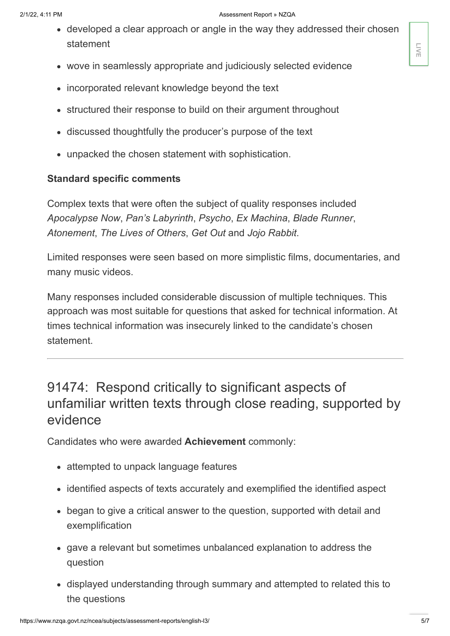- developed a clear approach or angle in the way they addressed their chosen statement
- wove in seamlessly appropriate and judiciously selected evidence
- incorporated relevant knowledge beyond the text
- structured their response to build on their argument throughout
- discussed thoughtfully the producer's purpose of the text
- unpacked the chosen statement with sophistication.

#### **Standard specific comments**

Complex texts that were often the subject of quality responses included *Apocalypse Now*, *Pan's Labyrinth*, *Psycho*, *Ex Machina*, *Blade Runner*, *Atonement*, *The Lives of Others*, *Get Out* and *Jojo Rabbit*.

Limited responses were seen based on more simplistic films, documentaries, and many music videos.

Many responses included considerable discussion of multiple techniques. This approach was most suitable for questions that asked for technical information. At times technical information was insecurely linked to the candidate's chosen statement.

### 91474: Respond critically to significant aspects of unfamiliar written texts through close reading, supported by evidence

Candidates who were awarded **Achievement** commonly:

- attempted to unpack language features
- identified aspects of texts accurately and exemplified the identified aspect
- began to give a critical answer to the question, supported with detail and exemplification
- gave a relevant but sometimes unbalanced explanation to address the question
- displayed understanding through summary and attempted to related this to the questions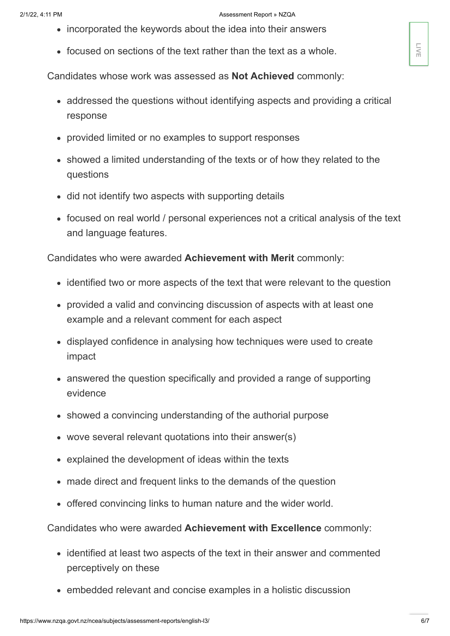- incorporated the keywords about the idea into their answers
- focused on sections of the text rather than the text as a whole.

Candidates whose work was assessed as **Not Achieved** commonly:

- addressed the questions without identifying aspects and providing a critical response
- provided limited or no examples to support responses
- showed a limited understanding of the texts or of how they related to the questions
- did not identify two aspects with supporting details
- focused on real world / personal experiences not a critical analysis of the text and language features.

Candidates who were awarded **Achievement with Merit** commonly:

- identified two or more aspects of the text that were relevant to the question
- provided a valid and convincing discussion of aspects with at least one example and a relevant comment for each aspect
- displayed confidence in analysing how techniques were used to create impact
- answered the question specifically and provided a range of supporting evidence
- showed a convincing understanding of the authorial purpose
- wove several relevant quotations into their answer(s)
- explained the development of ideas within the texts
- made direct and frequent links to the demands of the question
- offered convincing links to human nature and the wider world.

Candidates who were awarded **Achievement with Excellence** commonly:

- identified at least two aspects of the text in their answer and commented perceptively on these
- embedded relevant and concise examples in a holistic discussion